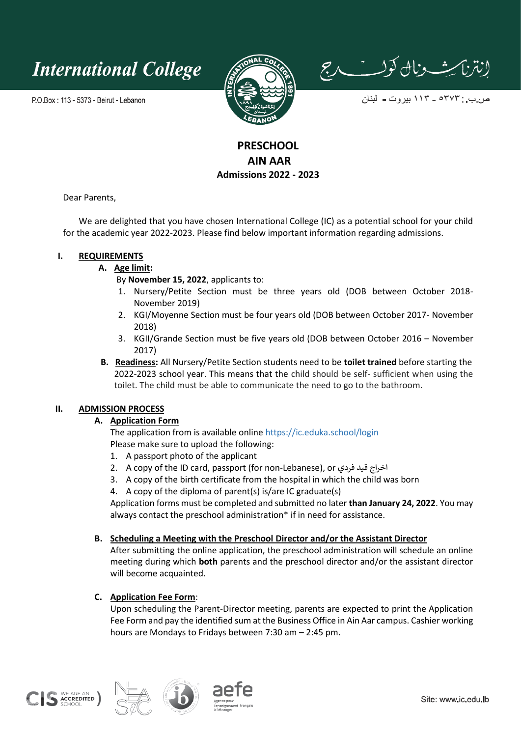

P.O.Box: 113 - 5373 - Beirut - Lebanon



إنتزاسي ونال كولست دج

ص ب : ٥٣٧٣ ــ ١١٣ بيروت ــ لبنان

## **PRESCHOOL AIN AAR Admissions 2022 - 2023**

Dear Parents,

We are delighted that you have chosen International College (IC) as a potential school for your child for the academic year 2022-2023. Please find below important information regarding admissions.

### **I. REQUIREMENTS**

**A. Age limit:** 

By **November 15, 2022**, applicants to:

- 1. Nursery/Petite Section must be three years old (DOB between October 2018- November 2019)
- 2. KGI/Moyenne Section must be four years old (DOB between October 2017- November 2018)
- 3. KGII/Grande Section must be five years old (DOB between October 2016 November 2017)
- **B. Readiness:** All Nursery/Petite Section students need to be **toilet trained** before starting the 2022-2023 school year. This means that the child should be self- sufficient when using the toilet. The child must be able to communicate the need to go to the bathroom.

### **II. ADMISSION PROCESS**

### **A. Application Form**

The application from is available online<https://ic.eduka.school/login> Please make sure to upload the following:

- 1. A passport photo of the applicant
- 2. A copy of the ID card, passport (for non-Lebanese), or فردي قيد اخراج
- 3. A copy of the birth certificate from the hospital in which the child was born
- 4. A copy of the diploma of parent(s) is/are IC graduate(s)

Application forms must be completed and submitted no later **than January 24, 2022**. You may always contact the preschool administration\* if in need for assistance.

### **B. Scheduling a Meeting with the Preschool Director and/or the Assistant Director**

After submitting the online application, the preschool administration will schedule an online meeting during which **both** parents and the preschool director and/or the assistant director will become acquainted.

### **C. Application Fee Form**:

Upon scheduling the Parent-Director meeting, parents are expected to print the Application Fee Form and pay the identified sum at the Business Office in Ain Aar campus. Cashier working hours are Mondays to Fridays between 7:30 am – 2:45 pm.